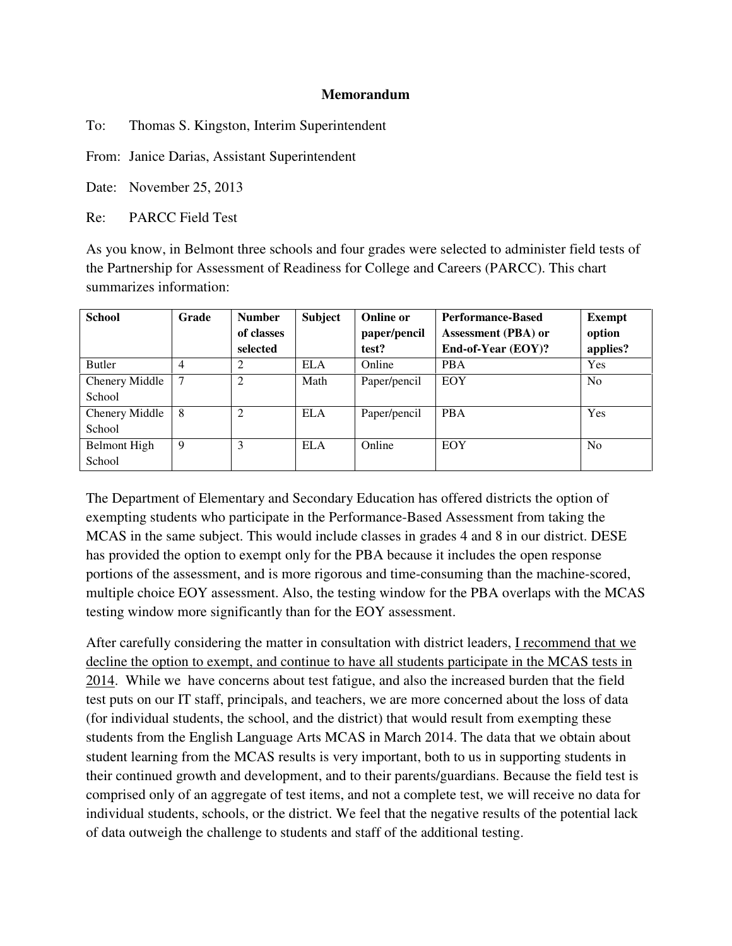## **Memorandum**

To: Thomas S. Kingston, Interim Superintendent

From: Janice Darias, Assistant Superintendent

Date: November 25, 2013

Re: PARCC Field Test

As you know, in Belmont three schools and four grades were selected to administer field tests of the Partnership for Assessment of Readiness for College and Careers (PARCC). This chart summarizes information:

| <b>School</b>  | Grade | <b>Number</b>  | <b>Subject</b> | <b>Online or</b> | <b>Performance-Based</b> | <b>Exempt</b>  |
|----------------|-------|----------------|----------------|------------------|--------------------------|----------------|
|                |       | of classes     |                | paper/pencil     | Assessment (PBA) or      | option         |
|                |       | selected       |                | test?            | End-of-Year (EOY)?       | applies?       |
| <b>Butler</b>  | 4     | 2              | <b>ELA</b>     | Online           | <b>PBA</b>               | Yes            |
| Chenery Middle | 7     | $\overline{2}$ | Math           | Paper/pencil     | EOY                      | N <sub>0</sub> |
| School         |       |                |                |                  |                          |                |
| Chenery Middle | 8     | ↑              | <b>ELA</b>     | Paper/pencil     | <b>PBA</b>               | Yes            |
| School         |       |                |                |                  |                          |                |
| Belmont High   | 9     | 3              | <b>ELA</b>     | Online           | EOY                      | N <sub>0</sub> |
| School         |       |                |                |                  |                          |                |

The Department of Elementary and Secondary Education has offered districts the option of exempting students who participate in the Performance-Based Assessment from taking the MCAS in the same subject. This would include classes in grades 4 and 8 in our district. DESE has provided the option to exempt only for the PBA because it includes the open response portions of the assessment, and is more rigorous and time-consuming than the machine-scored, multiple choice EOY assessment. Also, the testing window for the PBA overlaps with the MCAS testing window more significantly than for the EOY assessment.

After carefully considering the matter in consultation with district leaders, I recommend that we decline the option to exempt, and continue to have all students participate in the MCAS tests in 2014. While we have concerns about test fatigue, and also the increased burden that the field test puts on our IT staff, principals, and teachers, we are more concerned about the loss of data (for individual students, the school, and the district) that would result from exempting these students from the English Language Arts MCAS in March 2014. The data that we obtain about student learning from the MCAS results is very important, both to us in supporting students in their continued growth and development, and to their parents/guardians. Because the field test is comprised only of an aggregate of test items, and not a complete test, we will receive no data for individual students, schools, or the district. We feel that the negative results of the potential lack of data outweigh the challenge to students and staff of the additional testing.